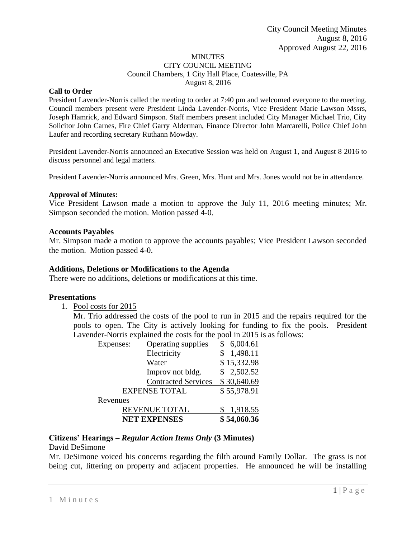#### MINUTES CITY COUNCIL MEETING Council Chambers, 1 City Hall Place, Coatesville, PA August 8, 2016

#### **Call to Order**

President Lavender-Norris called the meeting to order at 7:40 pm and welcomed everyone to the meeting. Council members present were President Linda Lavender-Norris, Vice President Marie Lawson Mssrs, Joseph Hamrick, and Edward Simpson. Staff members present included City Manager Michael Trio, City Solicitor John Carnes, Fire Chief Garry Alderman, Finance Director John Marcarelli, Police Chief John Laufer and recording secretary Ruthann Mowday.

President Lavender-Norris announced an Executive Session was held on August 1, and August 8 2016 to discuss personnel and legal matters.

President Lavender-Norris announced Mrs. Green, Mrs. Hunt and Mrs. Jones would not be in attendance.

#### **Approval of Minutes:**

Vice President Lawson made a motion to approve the July 11, 2016 meeting minutes; Mr. Simpson seconded the motion. Motion passed 4-0.

#### **Accounts Payables**

Mr. Simpson made a motion to approve the accounts payables; Vice President Lawson seconded the motion. Motion passed 4-0.

#### **Additions, Deletions or Modifications to the Agenda**

There were no additions, deletions or modifications at this time.

#### **Presentations**

1. Pool costs for 2015

Mr. Trio addressed the costs of the pool to run in 2015 and the repairs required for the pools to open. The City is actively looking for funding to fix the pools. President Lavender-Norris explained the costs for the pool in 2015 is as follows:

| Expenses:            | Operating supplies         | \$6,004.61  |
|----------------------|----------------------------|-------------|
|                      | Electricity                | \$1,498.11  |
|                      | Water                      | \$15,332.98 |
|                      | Improv not bldg.           | \$2,502.52  |
|                      | <b>Contracted Services</b> | \$30,640.69 |
| <b>EXPENSE TOTAL</b> |                            | \$55,978.91 |
| Revenues             |                            |             |
| <b>REVENUE TOTAL</b> |                            | 1,918.55    |
| <b>NET EXPENSES</b>  |                            | \$54,060.36 |

### **Citizens' Hearings –** *Regular Action Items Only* **(3 Minutes)**

#### David DeSimone

Mr. DeSimone voiced his concerns regarding the filth around Family Dollar. The grass is not being cut, littering on property and adjacent properties. He announced he will be installing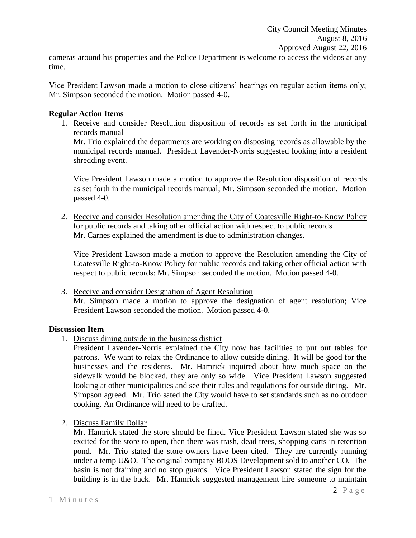cameras around his properties and the Police Department is welcome to access the videos at any time.

Vice President Lawson made a motion to close citizens' hearings on regular action items only; Mr. Simpson seconded the motion. Motion passed 4-0.

### **Regular Action Items**

1. Receive and consider Resolution disposition of records as set forth in the municipal records manual

Mr. Trio explained the departments are working on disposing records as allowable by the municipal records manual. President Lavender-Norris suggested looking into a resident shredding event.

Vice President Lawson made a motion to approve the Resolution disposition of records as set forth in the municipal records manual; Mr. Simpson seconded the motion. Motion passed 4-0.

2. Receive and consider Resolution amending the City of Coatesville Right-to-Know Policy for public records and taking other official action with respect to public records Mr. Carnes explained the amendment is due to administration changes.

Vice President Lawson made a motion to approve the Resolution amending the City of Coatesville Right-to-Know Policy for public records and taking other official action with respect to public records: Mr. Simpson seconded the motion. Motion passed 4-0.

3. Receive and consider Designation of Agent Resolution Mr. Simpson made a motion to approve the designation of agent resolution; Vice President Lawson seconded the motion. Motion passed 4-0.

### **Discussion Item**

1. Discuss dining outside in the business district

President Lavender-Norris explained the City now has facilities to put out tables for patrons. We want to relax the Ordinance to allow outside dining. It will be good for the businesses and the residents. Mr. Hamrick inquired about how much space on the sidewalk would be blocked, they are only so wide. Vice President Lawson suggested looking at other municipalities and see their rules and regulations for outside dining. Mr. Simpson agreed. Mr. Trio sated the City would have to set standards such as no outdoor cooking. An Ordinance will need to be drafted.

2. Discuss Family Dollar

Mr. Hamrick stated the store should be fined. Vice President Lawson stated she was so excited for the store to open, then there was trash, dead trees, shopping carts in retention pond. Mr. Trio stated the store owners have been cited. They are currently running under a temp U&O. The original company BOOS Development sold to another CO. The basin is not draining and no stop guards. Vice President Lawson stated the sign for the building is in the back. Mr. Hamrick suggested management hire someone to maintain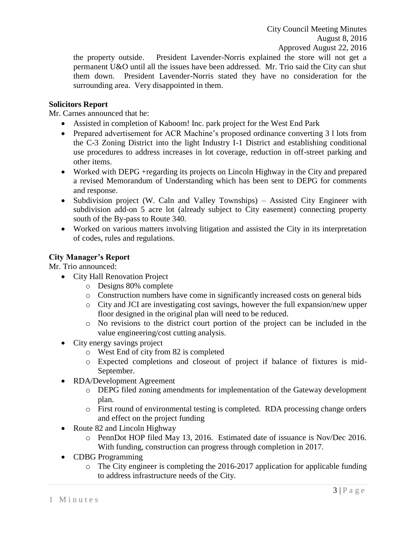the property outside. President Lavender-Norris explained the store will not get a permanent U&O until all the issues have been addressed. Mr. Trio said the City can shut them down. President Lavender-Norris stated they have no consideration for the surrounding area. Very disappointed in them.

## **Solicitors Report**

Mr. Carnes announced that he:

- Assisted in completion of Kaboom! Inc. park project for the West End Park
- Prepared advertisement for ACR Machine's proposed ordinance converting 3 l lots from the C-3 Zoning District into the light Industry I-1 District and establishing conditional use procedures to address increases in lot coverage, reduction in off-street parking and other items.
- Worked with DEPG +regarding its projects on Lincoln Highway in the City and prepared a revised Memorandum of Understanding which has been sent to DEPG for comments and response.
- Subdivision project (W. Caln and Valley Townships) Assisted City Engineer with subdivision add-on 5 acre lot (already subject to City easement) connecting property south of the By-pass to Route 340.
- Worked on various matters involving litigation and assisted the City in its interpretation of codes, rules and regulations.

# **City Manager's Report**

Mr. Trio announced:

- City Hall Renovation Project
	- o Designs 80% complete
	- o Construction numbers have come in significantly increased costs on general bids
	- o City and JCI are investigating cost savings, however the full expansion/new upper floor designed in the original plan will need to be reduced.
	- o No revisions to the district court portion of the project can be included in the value engineering/cost cutting analysis.
- City energy savings project
	- o West End of city from 82 is completed
	- o Expected completions and closeout of project if balance of fixtures is mid-September.
- RDA/Development Agreement
	- o DEPG filed zoning amendments for implementation of the Gateway development plan.
	- o First round of environmental testing is completed. RDA processing change orders and effect on the project funding
- Route 82 and Lincoln Highway
	- o PennDot HOP filed May 13, 2016. Estimated date of issuance is Nov/Dec 2016. With funding, construction can progress through completion in 2017.
- CDBG Programming
	- o The City engineer is completing the 2016-2017 application for applicable funding to address infrastructure needs of the City.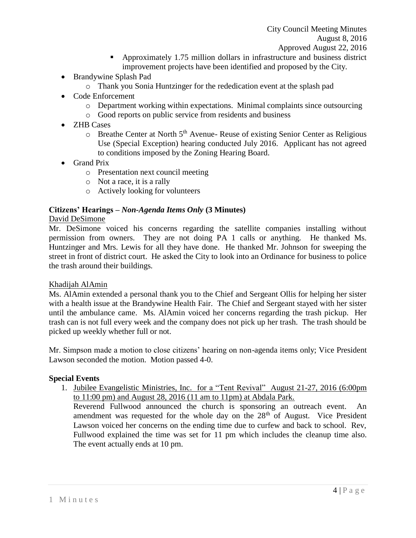- Approximately 1.75 million dollars in infrastructure and business district improvement projects have been identified and proposed by the City.
- Brandywine Splash Pad
	- o Thank you Sonia Huntzinger for the rededication event at the splash pad
- Code Enforcement
	- $\circ$  Department working within expectations. Minimal complaints since outsourcing
	- o Good reports on public service from residents and business
- ZHB Cases
	- $\circ$  Breathe Center at North 5<sup>th</sup> Avenue- Reuse of existing Senior Center as Religious Use (Special Exception) hearing conducted July 2016. Applicant has not agreed to conditions imposed by the Zoning Hearing Board.
- Grand Prix
	- o Presentation next council meeting
	- o Not a race, it is a rally
	- o Actively looking for volunteers

## **Citizens' Hearings –** *Non-Agenda Items Only* **(3 Minutes)**

### David DeSimone

Mr. DeSimone voiced his concerns regarding the satellite companies installing without permission from owners. They are not doing PA 1 calls or anything. He thanked Ms. Huntzinger and Mrs. Lewis for all they have done. He thanked Mr. Johnson for sweeping the street in front of district court. He asked the City to look into an Ordinance for business to police the trash around their buildings.

### Khadijah AlAmin

Ms. AlAmin extended a personal thank you to the Chief and Sergeant Ollis for helping her sister with a health issue at the Brandywine Health Fair. The Chief and Sergeant stayed with her sister until the ambulance came. Ms. AlAmin voiced her concerns regarding the trash pickup. Her trash can is not full every week and the company does not pick up her trash. The trash should be picked up weekly whether full or not.

Mr. Simpson made a motion to close citizens' hearing on non-agenda items only; Vice President Lawson seconded the motion. Motion passed 4-0.

### **Special Events**

1. Jubilee Evangelistic Ministries, Inc. for a "Tent Revival" August 21-27, 2016 (6:00pm to 11:00 pm) and August 28, 2016 (11 am to 11pm) at Abdala Park.

Reverend Fullwood announced the church is sponsoring an outreach event. An amendment was requested for the whole day on the  $28<sup>th</sup>$  of August. Vice President Lawson voiced her concerns on the ending time due to curfew and back to school. Rev, Fullwood explained the time was set for 11 pm which includes the cleanup time also. The event actually ends at 10 pm.